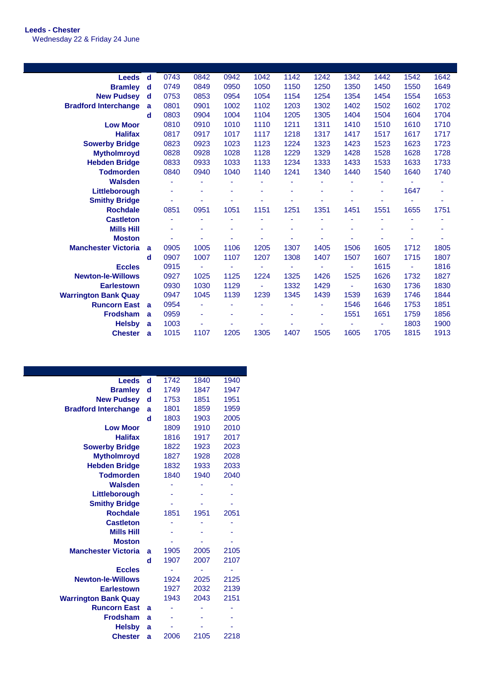## **Leeds - Chester** Wednesday 22 & Friday 24 June

| Leeds d                     |          | 0743 | 0842 | 0942 | 1042 | 1142                     | 1242 | 1342 | 1442 | 1542 | 1642 |
|-----------------------------|----------|------|------|------|------|--------------------------|------|------|------|------|------|
| <b>Bramley</b>              | d        | 0749 | 0849 | 0950 | 1050 | 1150                     | 1250 | 1350 | 1450 | 1550 | 1649 |
| <b>New Pudsev</b>           | ∣ d      | 0753 | 0853 | 0954 | 1054 | 1154                     | 1254 | 1354 | 1454 | 1554 | 1653 |
| <b>Bradford Interchange</b> | a        | 0801 | 0901 | 1002 | 1102 | 1203                     | 1302 | 1402 | 1502 | 1602 | 1702 |
|                             | d        | 0803 | 0904 | 1004 | 1104 | 1205                     | 1305 | 1404 | 1504 | 1604 | 1704 |
| <b>Low Moor</b>             |          | 0810 | 0910 | 1010 | 1110 | 1211                     | 1311 | 1410 | 1510 | 1610 | 1710 |
| <b>Halifax</b>              |          | 0817 | 0917 | 1017 | 1117 | 1218                     | 1317 | 1417 | 1517 | 1617 | 1717 |
| <b>Sowerby Bridge</b>       |          | 0823 | 0923 | 1023 | 1123 | 1224                     | 1323 | 1423 | 1523 | 1623 | 1723 |
| <b>Mytholmroyd</b>          |          | 0828 | 0928 | 1028 | 1128 | 1229                     | 1329 | 1428 | 1528 | 1628 | 1728 |
| <b>Hebden Bridge</b>        |          | 0833 | 0933 | 1033 | 1133 | 1234                     | 1333 | 1433 | 1533 | 1633 | 1733 |
| <b>Todmorden</b>            |          | 0840 | 0940 | 1040 | 1140 | 1241                     | 1340 | 1440 | 1540 | 1640 | 1740 |
| <b>Walsden</b>              |          |      |      |      |      |                          |      |      |      |      |      |
| Littleborough               |          |      | ۰    |      | ۰    |                          | ٠    |      | ٠    | 1647 |      |
| <b>Smithy Bridge</b>        |          |      |      |      |      |                          |      |      |      |      |      |
| <b>Rochdale</b>             |          | 0851 | 0951 | 1051 | 1151 | 1251                     | 1351 | 1451 | 1551 | 1655 | 1751 |
| <b>Castleton</b>            |          |      | ä,   |      | ä,   | ٠                        | ٠    |      |      | ٠    |      |
| <b>Mills Hill</b>           |          |      |      |      |      |                          |      |      |      |      |      |
| <b>Moston</b>               |          |      | ä,   |      |      |                          | ٠    |      |      |      |      |
| <b>Manchester Victoria</b>  | a        | 0905 | 1005 | 1106 | 1205 | 1307                     | 1405 | 1506 | 1605 | 1712 | 1805 |
|                             | d        | 0907 | 1007 | 1107 | 1207 | 1308                     | 1407 | 1507 | 1607 | 1715 | 1807 |
| <b>Eccles</b>               |          | 0915 | ٠    | ä,   | ٠    | $\overline{\phantom{a}}$ | ٠    |      | 1615 | ٠    | 1816 |
| <b>Newton-le-Willows</b>    |          | 0927 | 1025 | 1125 | 1224 | 1325                     | 1426 | 1525 | 1626 | 1732 | 1827 |
| <b>Earlestown</b>           |          | 0930 | 1030 | 1129 | ä,   | 1332                     | 1429 | ٠    | 1630 | 1736 | 1830 |
| <b>Warrington Bank Quay</b> |          | 0947 | 1045 | 1139 | 1239 | 1345                     | 1439 | 1539 | 1639 | 1746 | 1844 |
| <b>Runcorn East</b>         | <b>a</b> | 0954 | ÷.   | ۰    | ٠    | ٠                        | ٠    | 1546 | 1646 | 1753 | 1851 |
| <b>Frodsham</b>             | a        | 0959 | ۰    | ۰    | ٠    | ۰                        | ٠    | 1551 | 1651 | 1759 | 1856 |
| <b>Helsby</b>               | a        | 1003 |      |      |      |                          |      |      |      | 1803 | 1900 |
| <b>Chester</b>              | a        | 1015 | 1107 | 1205 | 1305 | 1407                     | 1505 | 1605 | 1705 | 1815 | 1913 |

| Leeds                       | d | 1742 | 1840 | 1940 |
|-----------------------------|---|------|------|------|
| <b>Bramley</b>              | d | 1749 | 1847 | 1947 |
| <b>New Pudsey</b>           | d | 1753 | 1851 | 1951 |
| <b>Bradford Interchange</b> | a | 1801 | 1859 | 1959 |
|                             | d | 1803 | 1903 | 2005 |
| <b>Low Moor</b>             |   | 1809 | 1910 | 2010 |
| <b>Halifax</b>              |   | 1816 | 1917 | 2017 |
| <b>Sowerby Bridge</b>       |   | 1822 | 1923 | 2023 |
| <b>Mytholmroyd</b>          |   | 1827 | 1928 | 2028 |
| <b>Hebden Bridge</b>        |   | 1832 | 1933 | 2033 |
| <b>Todmorden</b>            |   | 1840 | 1940 | 2040 |
| <b>Walsden</b>              |   |      |      |      |
| Littleborough               |   |      |      |      |
| <b>Smithy Bridge</b>        |   |      |      |      |
| <b>Rochdale</b>             |   | 1851 | 1951 | 2051 |
| <b>Castleton</b>            |   |      |      |      |
| <b>Mills Hill</b>           |   |      |      |      |
| <b>Moston</b>               |   |      |      |      |
| <b>Manchester Victoria</b>  | a | 1905 | 2005 | 2105 |
|                             | d | 1907 | 2007 | 2107 |
| <b>Eccles</b>               |   |      |      |      |
| <b>Newton-le-Willows</b>    |   | 1924 | 2025 | 2125 |
| <b>Earlestown</b>           |   | 1927 | 2032 | 2139 |
| <b>Warrington Bank Quay</b> |   | 1943 | 2043 | 2151 |
| <b>Runcorn East</b>         | a |      |      |      |
| <b>Frodsham</b>             | a |      |      |      |
| <b>Helsby</b>               | a |      |      |      |
| <b>Chester</b>              | a | 2006 | 2105 | 2218 |
|                             |   |      |      |      |